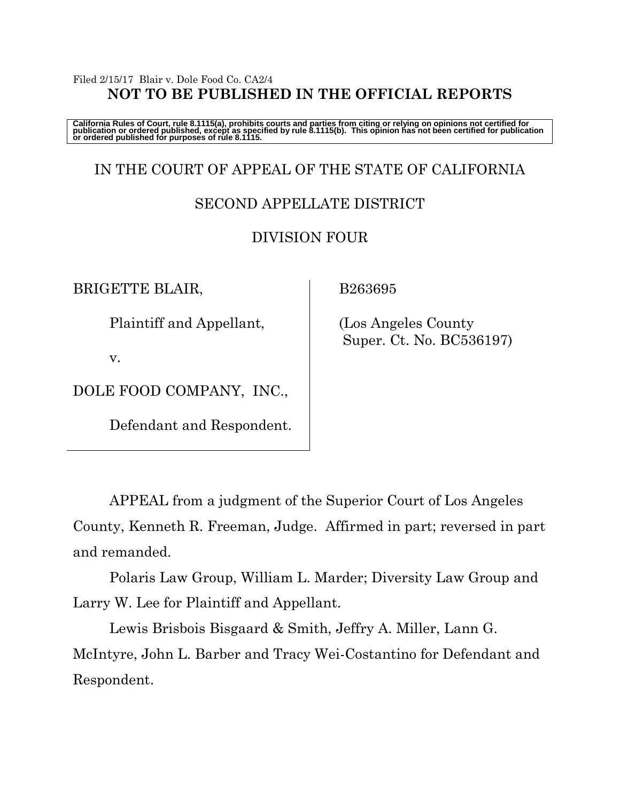### Filed 2/15/17 Blair v. Dole Food Co. CA2/4 **NOT TO BE PUBLISHED IN THE OFFICIAL REPORTS**

California Rules of Court, rule 8.1115(a), prohibits courts and parties from citing or relying on opinions not certified for<br>publication or ordered published, except as specified by rule 8.1115(b). This opinion has not be

# IN THE COURT OF APPEAL OF THE STATE OF CALIFORNIA

## SECOND APPELLATE DISTRICT

## DIVISION FOUR

BRIGETTE BLAIR,

Plaintiff and Appellant,

v.

DOLE FOOD COMPANY, INC.,

Defendant and Respondent.

B263695

 (Los Angeles County Super. Ct. No. BC536197)

APPEAL from a judgment of the Superior Court of Los Angeles County, Kenneth R. Freeman, Judge. Affirmed in part; reversed in part and remanded.

Polaris Law Group, William L. Marder; Diversity Law Group and Larry W. Lee for Plaintiff and Appellant.

Lewis Brisbois Bisgaard & Smith, Jeffry A. Miller, Lann G. McIntyre, John L. Barber and Tracy Wei-Costantino for Defendant and Respondent.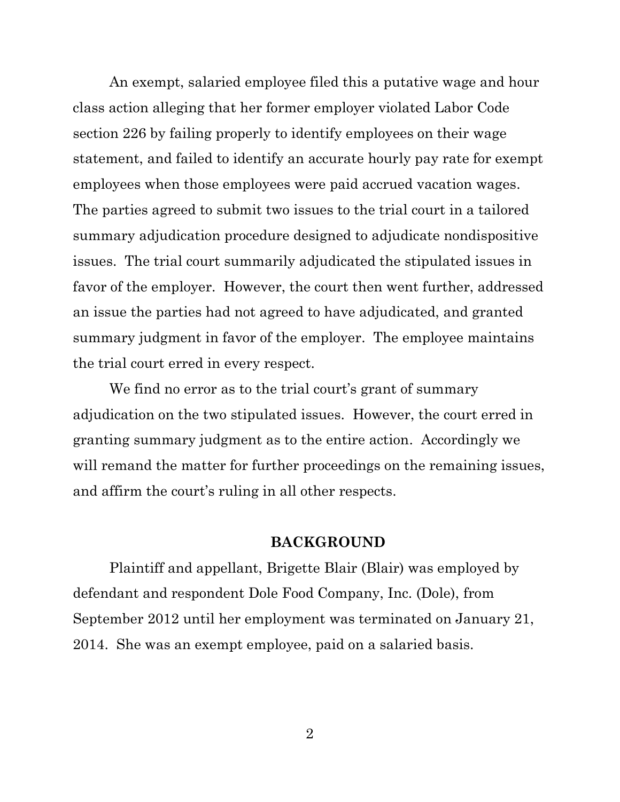An exempt, salaried employee filed this a putative wage and hour class action alleging that her former employer violated Labor Code section 226 by failing properly to identify employees on their wage statement, and failed to identify an accurate hourly pay rate for exempt employees when those employees were paid accrued vacation wages. The parties agreed to submit two issues to the trial court in a tailored summary adjudication procedure designed to adjudicate nondispositive issues. The trial court summarily adjudicated the stipulated issues in favor of the employer. However, the court then went further, addressed an issue the parties had not agreed to have adjudicated, and granted summary judgment in favor of the employer. The employee maintains the trial court erred in every respect.

We find no error as to the trial court's grant of summary adjudication on the two stipulated issues. However, the court erred in granting summary judgment as to the entire action. Accordingly we will remand the matter for further proceedings on the remaining issues, and affirm the court's ruling in all other respects.

#### **BACKGROUND**

Plaintiff and appellant, Brigette Blair (Blair) was employed by defendant and respondent Dole Food Company, Inc. (Dole), from September 2012 until her employment was terminated on January 21, 2014. She was an exempt employee, paid on a salaried basis.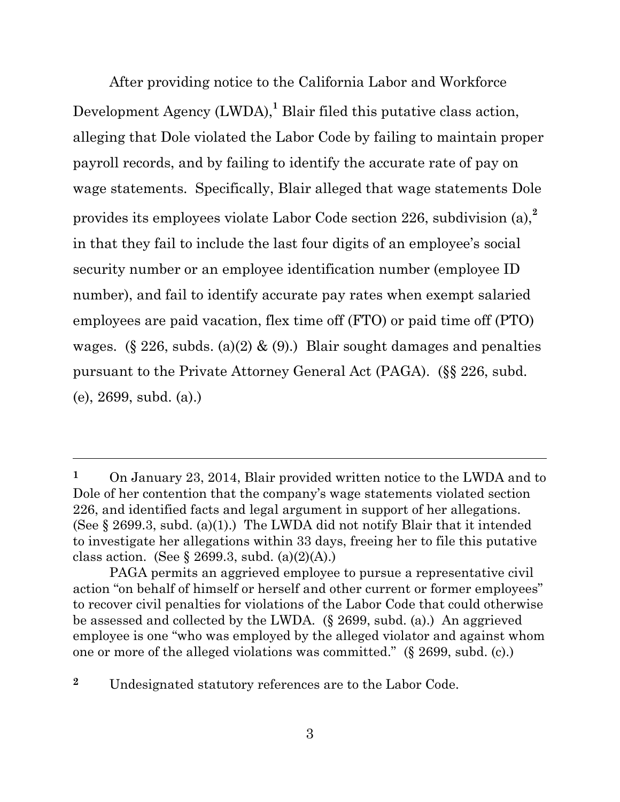After providing notice to the California Labor and Workforce Development Agency (LWDA),<sup>1</sup> Blair filed this putative class action, alleging that Dole violated the Labor Code by failing to maintain proper payroll records, and by failing to identify the accurate rate of pay on wage statements. Specifically, Blair alleged that wage statements Dole provides its employees violate Labor Code section 226, subdivision (a),**<sup>2</sup>** in that they fail to include the last four digits of an employee's social security number or an employee identification number (employee ID number), and fail to identify accurate pay rates when exempt salaried employees are paid vacation, flex time off (FTO) or paid time off (PTO) wages. (§ 226, subds. (a)(2) & (9).) Blair sought damages and penalties pursuant to the Private Attorney General Act (PAGA). (§§ 226, subd. (e), 2699, subd. (a).)

**<sup>2</sup>** Undesignated statutory references are to the Labor Code.

**<sup>1</sup>** On January 23, 2014, Blair provided written notice to the LWDA and to Dole of her contention that the company's wage statements violated section 226, and identified facts and legal argument in support of her allegations. (See  $\S 2699.3$ , subd. (a)(1).) The LWDA did not notify Blair that it intended to investigate her allegations within 33 days, freeing her to file this putative class action. (See  $\S 2699.3$ , subd. (a)(2)(A).)

PAGA permits an aggrieved employee to pursue a representative civil action "on behalf of himself or herself and other current or former employees" to recover civil penalties for violations of the Labor Code that could otherwise be assessed and collected by the LWDA. (§ 2699, subd. (a).) An aggrieved employee is one "who was employed by the alleged violator and against whom one or more of the alleged violations was committed." (§ 2699, subd. (c).)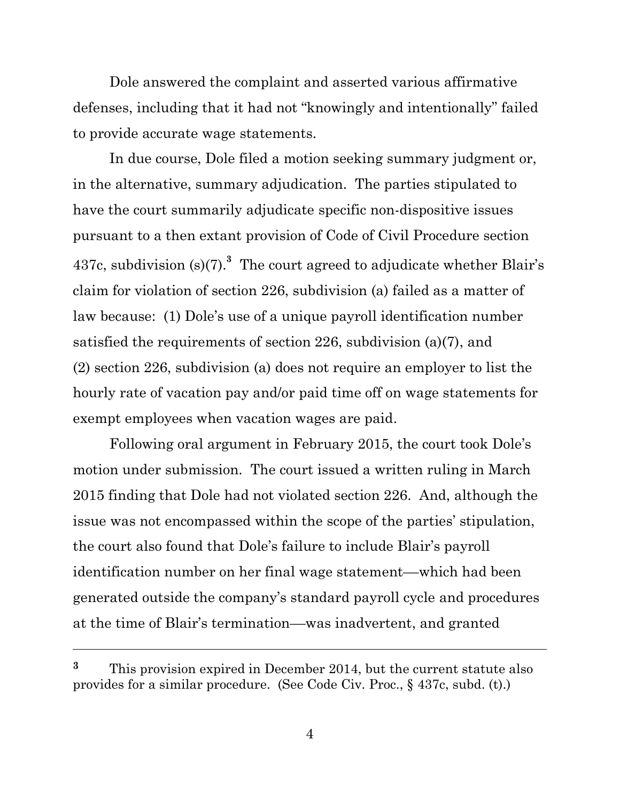Dole answered the complaint and asserted various affirmative defenses, including that it had not "knowingly and intentionally" failed to provide accurate wage statements.

In due course, Dole filed a motion seeking summary judgment or, in the alternative, summary adjudication. The parties stipulated to have the court summarily adjudicate specific non-dispositive issues pursuant to a then extant provision of Code of Civil Procedure section 437c, subdivision  $(s)(7)^3$  The court agreed to adjudicate whether Blair's claim for violation of section 226, subdivision (a) failed as a matter of law because: (1) Dole's use of a unique payroll identification number satisfied the requirements of section 226, subdivision (a)(7), and (2) section 226, subdivision (a) does not require an employer to list the hourly rate of vacation pay and/or paid time off on wage statements for exempt employees when vacation wages are paid.

Following oral argument in February 2015, the court took Dole's motion under submission. The court issued a written ruling in March 2015 finding that Dole had not violated section 226. And, although the issue was not encompassed within the scope of the parties' stipulation, the court also found that Dole's failure to include Blair's payroll identification number on her final wage statement––which had been generated outside the company's standard payroll cycle and procedures at the time of Blair's termination––was inadvertent, and granted

**<sup>3</sup>** This provision expired in December 2014, but the current statute also provides for a similar procedure. (See Code Civ. Proc., § 437c, subd. (t).)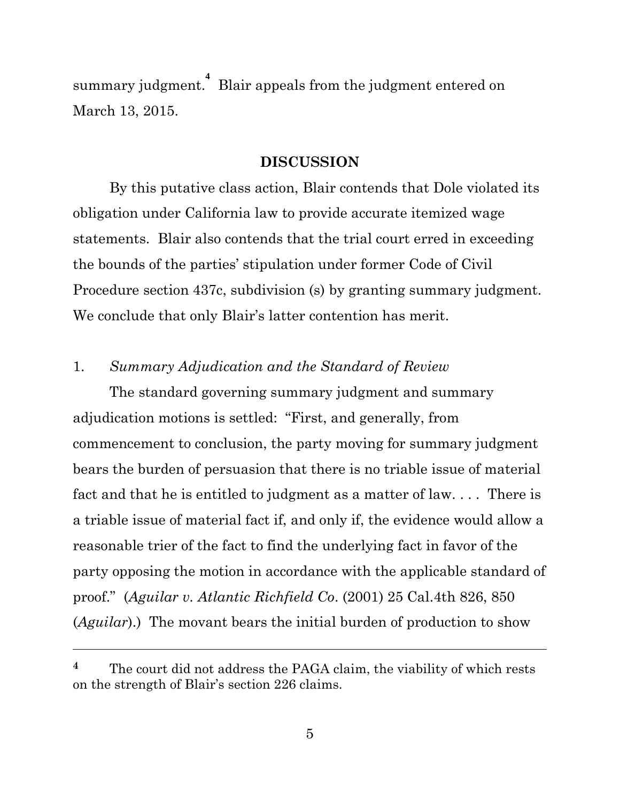summary judgment. **4** Blair appeals from the judgment entered on March 13, 2015.

#### **DISCUSSION**

By this putative class action, Blair contends that Dole violated its obligation under California law to provide accurate itemized wage statements. Blair also contends that the trial court erred in exceeding the bounds of the parties' stipulation under former Code of Civil Procedure section 437c, subdivision (s) by granting summary judgment. We conclude that only Blair's latter contention has merit.

### 1. *Summary Adjudication and the Standard of Review*

The standard governing summary judgment and summary adjudication motions is settled: "First, and generally, from commencement to conclusion, the party moving for summary judgment bears the burden of persuasion that there is no triable issue of material fact and that he is entitled to judgment as a matter of law. . . . There is a triable issue of material fact if, and only if, the evidence would allow a reasonable trier of the fact to find the underlying fact in favor of the party opposing the motion in accordance with the applicable standard of proof." (*Aguilar v. Atlantic Richfield Co*. (2001) 25 Cal.4th 826, 850 (*Aguilar*).) The movant bears the initial burden of production to show

**<sup>4</sup>** The court did not address the PAGA claim, the viability of which rests on the strength of Blair's section 226 claims.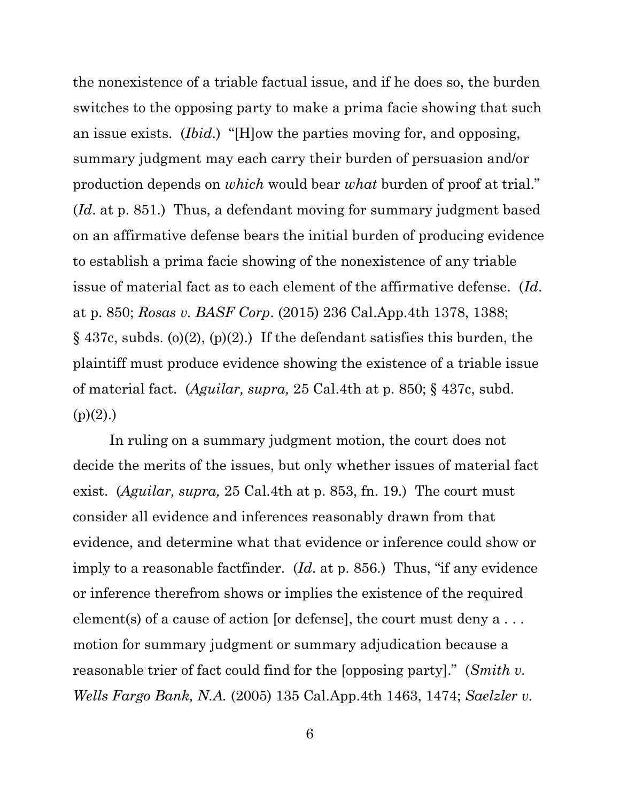the nonexistence of a triable factual issue, and if he does so, the burden switches to the opposing party to make a prima facie showing that such an issue exists. (*Ibid*.) "[H]ow the parties moving for, and opposing, summary judgment may each carry their burden of persuasion and/or production depends on *which* would bear *what* burden of proof at trial." (*Id*. at p. 851.) Thus, a defendant moving for summary judgment based on an affirmative defense bears the initial burden of producing evidence to establish a prima facie showing of the nonexistence of any triable issue of material fact as to each element of the affirmative defense. (*Id*. at p. 850; *Rosas v. BASF Corp*. (2015) 236 Cal.App.4th 1378, 1388;  $\S$  437c, subds. (o)(2), (p)(2).) If the defendant satisfies this burden, the plaintiff must produce evidence showing the existence of a triable issue of material fact. (*Aguilar, supra,* 25 Cal.4th at p. 850; § 437c, subd.  $(p)(2)$ .)

In ruling on a summary judgment motion, the court does not decide the merits of the issues, but only whether issues of material fact exist. (*Aguilar, supra,* 25 Cal.4th at p. 853, fn. 19.) The court must consider all evidence and inferences reasonably drawn from that evidence, and determine what that evidence or inference could show or imply to a reasonable factfinder. (*Id*. at p. 856.) Thus, "if any evidence or inference therefrom shows or implies the existence of the required element(s) of a cause of action [or defense], the court must deny a . . . motion for summary judgment or summary adjudication because a reasonable trier of fact could find for the [opposing party]." (*Smith v. Wells Fargo Bank, N.A.* (2005) 135 Cal.App.4th 1463, 1474; *Saelzler v.*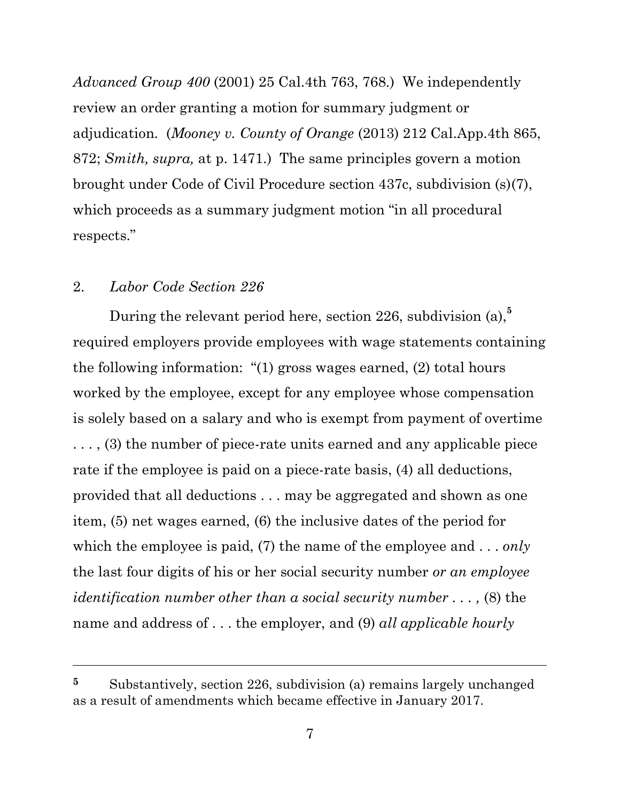*Advanced Group 400* (2001) 25 Cal.4th 763, 768.) We independently review an order granting a motion for summary judgment or adjudication. (*Mooney v. County of Orange* (2013) 212 Cal.App.4th 865, 872; *Smith, supra,* at p. 1471.) The same principles govern a motion brought under Code of Civil Procedure section 437c, subdivision (s)(7), which proceeds as a summary judgment motion "in all procedural" respects."

#### 2. *Labor Code Section 226*

During the relevant period here, section 226, subdivision (a),**<sup>5</sup>** required employers provide employees with wage statements containing the following information: "(1) gross wages earned, (2) total hours worked by the employee, except for any employee whose compensation is solely based on a salary and who is exempt from payment of overtime . . . , (3) the number of piece-rate units earned and any applicable piece rate if the employee is paid on a piece-rate basis, (4) all deductions, provided that all deductions . . . may be aggregated and shown as one item, (5) net wages earned, (6) the inclusive dates of the period for which the employee is paid, (7) the name of the employee and . . . *only* the last four digits of his or her social security number *or an employee identification number other than a social security number . . . ,* (8) the name and address of . . . the employer, and (9) *all applicable hourly* 

**<sup>5</sup>** Substantively, section 226, subdivision (a) remains largely unchanged as a result of amendments which became effective in January 2017.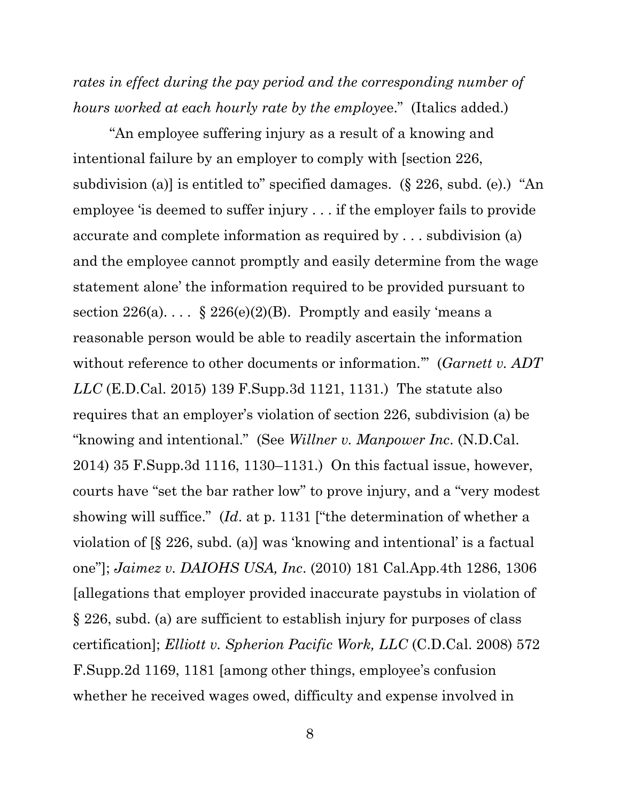*rates in effect during the pay period and the corresponding number of hours worked at each hourly rate by the employe*e." (Italics added.)

"An employee suffering injury as a result of a knowing and intentional failure by an employer to comply with [section 226, subdivision (a)] is entitled to" specified damages. (§ 226, subd. (e).) "An employee 'is deemed to suffer injury . . . if the employer fails to provide accurate and complete information as required by . . . subdivision (a) and the employee cannot promptly and easily determine from the wage statement alone' the information required to be provided pursuant to section  $226(a)$ ... §  $226(e)(2)(B)$ . Promptly and easily 'means a reasonable person would be able to readily ascertain the information without reference to other documents or information.'" (*Garnett v. ADT LLC* (E.D.Cal. 2015) 139 F.Supp.3d 1121, 1131.) The statute also requires that an employer's violation of section 226, subdivision (a) be "knowing and intentional." (See *Willner v. Manpower Inc*. (N.D.Cal. 2014) 35 F.Supp.3d 1116, 1130–1131.) On this factual issue, however, courts have "set the bar rather low" to prove injury, and a "very modest showing will suffice." (*Id*. at p. 1131 ["the determination of whether a violation of [§ 226, subd. (a)] was 'knowing and intentional' is a factual one"]; *Jaimez v. DAIOHS USA, Inc*. (2010) 181 Cal.App.4th 1286, 1306 [allegations that employer provided inaccurate paystubs in violation of § 226, subd. (a) are sufficient to establish injury for purposes of class certification]; *Elliott v. Spherion Pacific Work, LLC* (C.D.Cal. 2008) 572 F.Supp.2d 1169, 1181 [among other things, employee's confusion whether he received wages owed, difficulty and expense involved in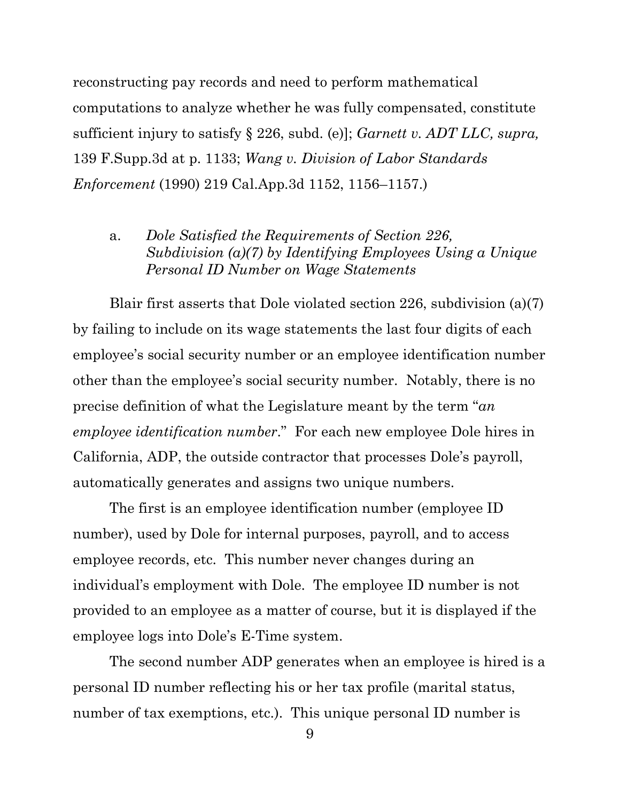reconstructing pay records and need to perform mathematical computations to analyze whether he was fully compensated, constitute sufficient injury to satisfy § 226, subd. (e)]; *Garnett v. ADT LLC, supra,*  139 F.Supp.3d at p. 1133; *Wang v. Division of Labor Standards Enforcement* (1990) 219 Cal.App.3d 1152, 1156–1157.)

a. *Dole Satisfied the Requirements of Section 226, Subdivision (a)(7) by Identifying Employees Using a Unique Personal ID Number on Wage Statements*

Blair first asserts that Dole violated section 226, subdivision (a)(7) by failing to include on its wage statements the last four digits of each employee's social security number or an employee identification number other than the employee's social security number. Notably, there is no precise definition of what the Legislature meant by the term "*an employee identification number*." For each new employee Dole hires in California, ADP, the outside contractor that processes Dole's payroll, automatically generates and assigns two unique numbers.

The first is an employee identification number (employee ID number), used by Dole for internal purposes, payroll, and to access employee records, etc. This number never changes during an individual's employment with Dole. The employee ID number is not provided to an employee as a matter of course, but it is displayed if the employee logs into Dole's E-Time system.

The second number ADP generates when an employee is hired is a personal ID number reflecting his or her tax profile (marital status, number of tax exemptions, etc.). This unique personal ID number is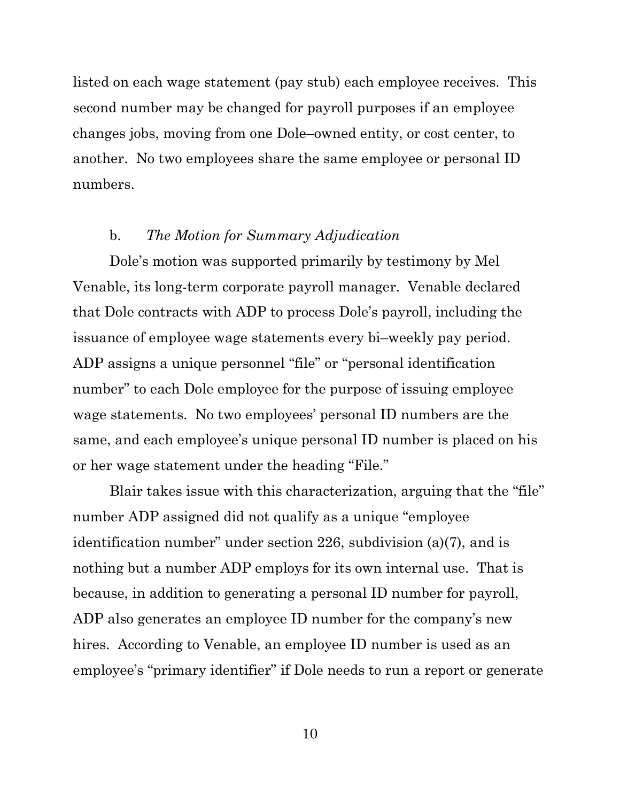listed on each wage statement (pay stub) each employee receives. This second number may be changed for payroll purposes if an employee changes jobs, moving from one Dole–owned entity, or cost center, to another. No two employees share the same employee or personal ID numbers.

### b. *The Motion for Summary Adjudication*

Dole's motion was supported primarily by testimony by Mel Venable, its long-term corporate payroll manager. Venable declared that Dole contracts with ADP to process Dole's payroll, including the issuance of employee wage statements every bi–weekly pay period. ADP assigns a unique personnel "file" or "personal identification number" to each Dole employee for the purpose of issuing employee wage statements. No two employees' personal ID numbers are the same, and each employee's unique personal ID number is placed on his or her wage statement under the heading "File."

Blair takes issue with this characterization, arguing that the "file" number ADP assigned did not qualify as a unique "employee identification number" under section 226, subdivision (a)(7), and is nothing but a number ADP employs for its own internal use. That is because, in addition to generating a personal ID number for payroll, ADP also generates an employee ID number for the company's new hires. According to Venable, an employee ID number is used as an employee's "primary identifier" if Dole needs to run a report or generate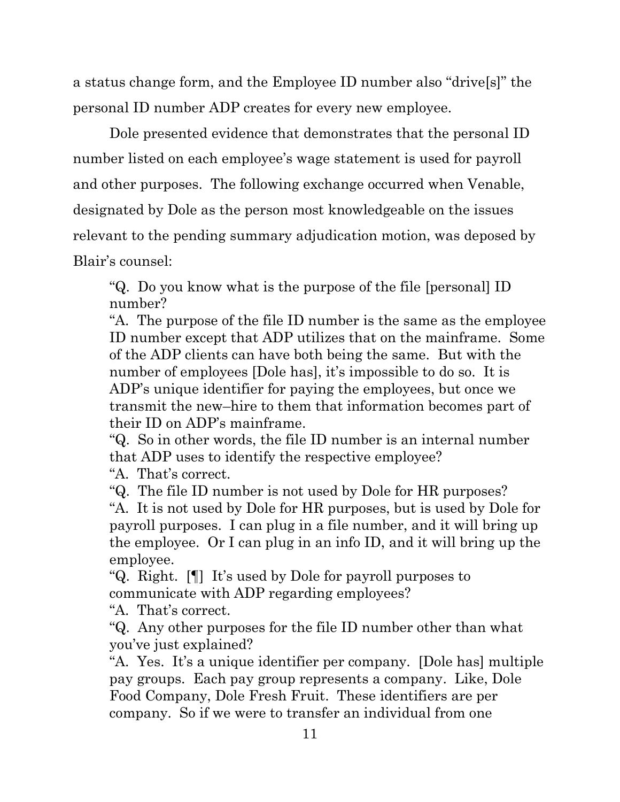a status change form, and the Employee ID number also "drive[s]" the personal ID number ADP creates for every new employee.

Dole presented evidence that demonstrates that the personal ID number listed on each employee's wage statement is used for payroll and other purposes. The following exchange occurred when Venable, designated by Dole as the person most knowledgeable on the issues relevant to the pending summary adjudication motion, was deposed by Blair's counsel:

"Q. Do you know what is the purpose of the file [personal] ID number?

"A. The purpose of the file ID number is the same as the employee ID number except that ADP utilizes that on the mainframe. Some of the ADP clients can have both being the same. But with the number of employees [Dole has], it's impossible to do so. It is ADP's unique identifier for paying the employees, but once we transmit the new–hire to them that information becomes part of their ID on ADP's mainframe.

"Q. So in other words, the file ID number is an internal number that ADP uses to identify the respective employee?

"A. That's correct.

"Q. The file ID number is not used by Dole for HR purposes?

"A. It is not used by Dole for HR purposes, but is used by Dole for payroll purposes. I can plug in a file number, and it will bring up the employee. Or I can plug in an info ID, and it will bring up the employee.

"Q. Right. [¶] It's used by Dole for payroll purposes to communicate with ADP regarding employees?

"A. That's correct.

"Q. Any other purposes for the file ID number other than what you've just explained?

"A. Yes. It's a unique identifier per company. [Dole has] multiple pay groups. Each pay group represents a company. Like, Dole Food Company, Dole Fresh Fruit. These identifiers are per company. So if we were to transfer an individual from one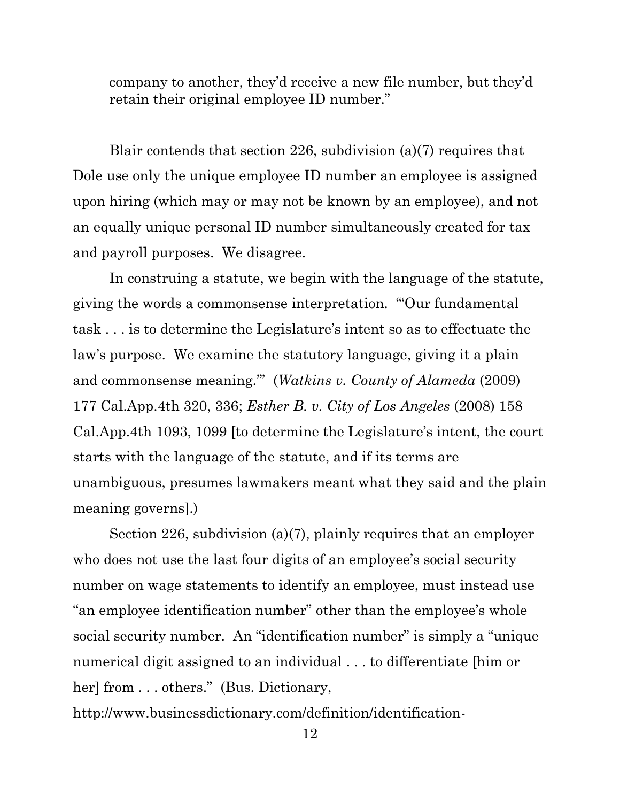company to another, they'd receive a new file number, but they'd retain their original employee ID number."

Blair contends that section 226, subdivision (a)(7) requires that Dole use only the unique employee ID number an employee is assigned upon hiring (which may or may not be known by an employee), and not an equally unique personal ID number simultaneously created for tax and payroll purposes. We disagree.

In construing a statute, we begin with the language of the statute, giving the words a commonsense interpretation. "'Our fundamental task . . . is to determine the Legislature's intent so as to effectuate the law's purpose. We examine the statutory language, giving it a plain and commonsense meaning.'" (*Watkins v. County of Alameda* (2009) 177 Cal.App.4th 320, 336; *Esther B. v. City of Los Angeles* (2008) 158 Cal.App.4th 1093, 1099 [to determine the Legislature's intent, the court starts with the language of the statute, and if its terms are unambiguous, presumes lawmakers meant what they said and the plain meaning governs].)

Section 226, subdivision (a)(7), plainly requires that an employer who does not use the last four digits of an employee's social security number on wage statements to identify an employee, must instead use "an employee identification number" other than the employee's whole social security number. An "identification number" is simply a "unique numerical digit assigned to an individual . . . to differentiate [him or her] from . . . others." (Bus. Dictionary,

http://www.businessdictionary.com/definition/identification-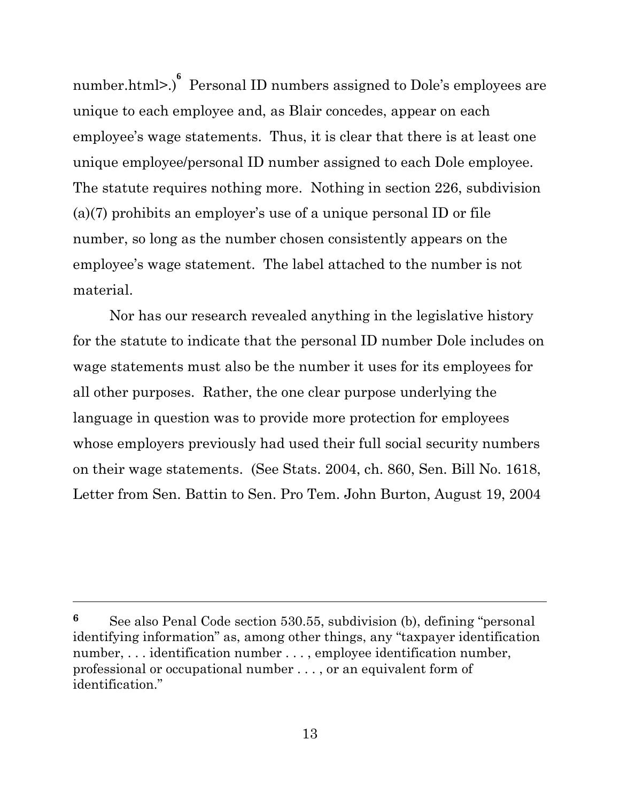number.html>.) **6** Personal ID numbers assigned to Dole's employees are unique to each employee and, as Blair concedes, appear on each employee's wage statements. Thus, it is clear that there is at least one unique employee/personal ID number assigned to each Dole employee. The statute requires nothing more. Nothing in section 226, subdivision (a)(7) prohibits an employer's use of a unique personal ID or file number, so long as the number chosen consistently appears on the employee's wage statement. The label attached to the number is not material.

Nor has our research revealed anything in the legislative history for the statute to indicate that the personal ID number Dole includes on wage statements must also be the number it uses for its employees for all other purposes. Rather, the one clear purpose underlying the language in question was to provide more protection for employees whose employers previously had used their full social security numbers on their wage statements. (See Stats. 2004, ch. 860, Sen. Bill No. 1618, Letter from Sen. Battin to Sen. Pro Tem. John Burton, August 19, 2004

**<sup>6</sup>** See also Penal Code section 530.55, subdivision (b), defining "personal identifying information" as, among other things, any "taxpayer identification number, ... identification number ..., employee identification number, professional or occupational number . . . , or an equivalent form of identification."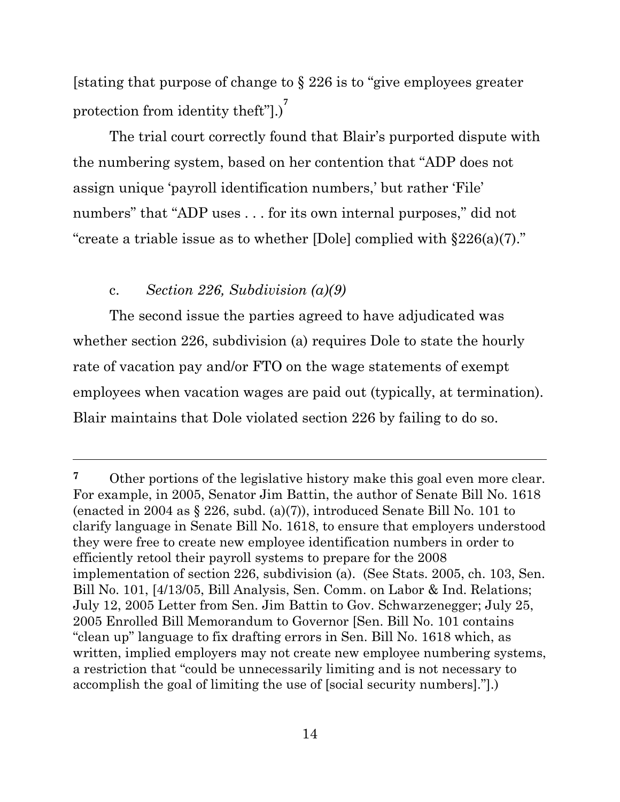[stating that purpose of change to § 226 is to "give employees greater protection from identity theft"[.)<sup>7</sup>

The trial court correctly found that Blair's purported dispute with the numbering system, based on her contention that "ADP does not assign unique 'payroll identification numbers,' but rather 'File' numbers" that "ADP uses . . . for its own internal purposes," did not "create a triable issue as to whether [Dole] complied with §226(a)(7)."

### c. *Section 226, Subdivision (a)(9)*

The second issue the parties agreed to have adjudicated was whether section 226, subdivision (a) requires Dole to state the hourly rate of vacation pay and/or FTO on the wage statements of exempt employees when vacation wages are paid out (typically, at termination). Blair maintains that Dole violated section 226 by failing to do so.

<sup>&</sup>lt;sup>7</sup> Other portions of the legislative history make this goal even more clear. For example, in 2005, Senator Jim Battin, the author of Senate Bill No. 1618 (enacted in 2004 as § 226, subd. (a)(7)), introduced Senate Bill No. 101 to clarify language in Senate Bill No. 1618, to ensure that employers understood they were free to create new employee identification numbers in order to efficiently retool their payroll systems to prepare for the 2008 implementation of section 226, subdivision (a). (See Stats. 2005, ch. 103, Sen. Bill No. 101, [4/13/05, Bill Analysis, Sen. Comm. on Labor & Ind. Relations; July 12, 2005 Letter from Sen. Jim Battin to Gov. Schwarzenegger; July 25, 2005 Enrolled Bill Memorandum to Governor [Sen. Bill No. 101 contains "clean up" language to fix drafting errors in Sen. Bill No. 1618 which, as written, implied employers may not create new employee numbering systems, a restriction that "could be unnecessarily limiting and is not necessary to accomplish the goal of limiting the use of [social security numbers]."].)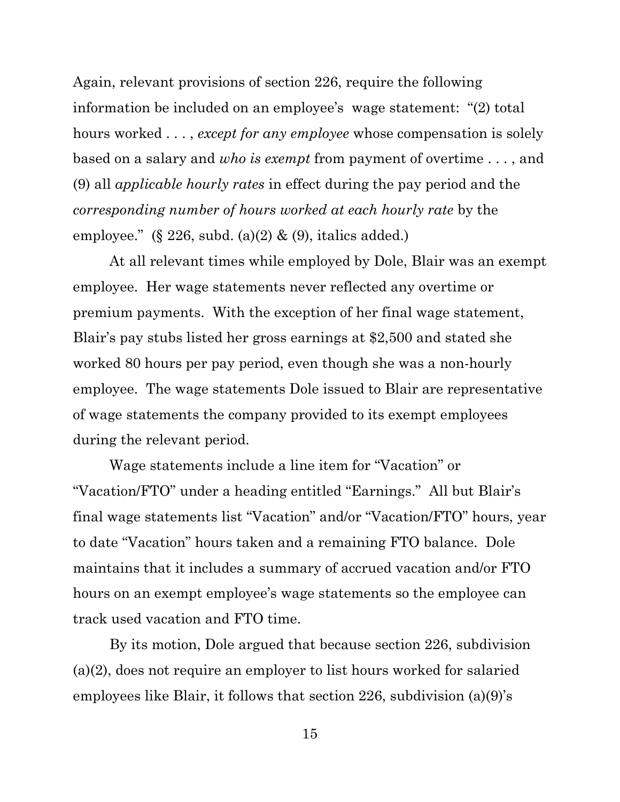Again, relevant provisions of section 226, require the following information be included on an employee's wage statement: "(2) total hours worked . . . , *except for any employee* whose compensation is solely based on a salary and *who is exempt* from payment of overtime . . . , and (9) all *applicable hourly rates* in effect during the pay period and the *corresponding number of hours worked at each hourly rate* by the employee." (§ 226, subd.  $(a)(2)$  &  $(9)$ , italics added.)

At all relevant times while employed by Dole, Blair was an exempt employee. Her wage statements never reflected any overtime or premium payments. With the exception of her final wage statement, Blair's pay stubs listed her gross earnings at \$2,500 and stated she worked 80 hours per pay period, even though she was a non-hourly employee. The wage statements Dole issued to Blair are representative of wage statements the company provided to its exempt employees during the relevant period.

Wage statements include a line item for "Vacation" or "Vacation/FTO" under a heading entitled "Earnings." All but Blair's final wage statements list "Vacation" and/or "Vacation/FTO" hours, year to date "Vacation" hours taken and a remaining FTO balance. Dole maintains that it includes a summary of accrued vacation and/or FTO hours on an exempt employee's wage statements so the employee can track used vacation and FTO time.

By its motion, Dole argued that because section 226, subdivision (a)(2), does not require an employer to list hours worked for salaried employees like Blair, it follows that section 226, subdivision (a)(9)'s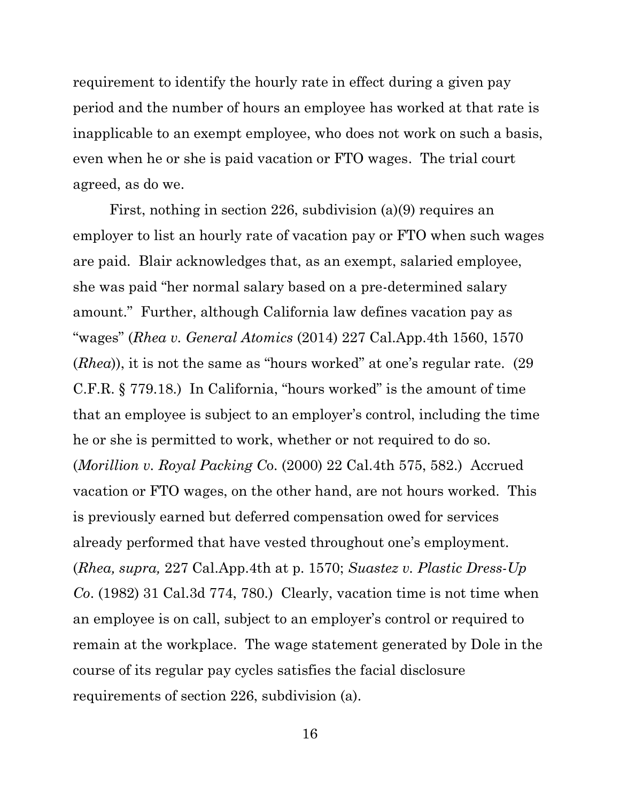requirement to identify the hourly rate in effect during a given pay period and the number of hours an employee has worked at that rate is inapplicable to an exempt employee, who does not work on such a basis, even when he or she is paid vacation or FTO wages. The trial court agreed, as do we.

First, nothing in section 226, subdivision (a)(9) requires an employer to list an hourly rate of vacation pay or FTO when such wages are paid. Blair acknowledges that, as an exempt, salaried employee, she was paid "her normal salary based on a pre-determined salary amount." Further, although California law defines vacation pay as "wages" (*Rhea v. General Atomics* (2014) 227 Cal.App.4th 1560, 1570 (*Rhea*)), it is not the same as "hours worked" at one's regular rate. (29 C.F.R. § 779.18.) In California, "hours worked" is the amount of time that an employee is subject to an employer's control, including the time he or she is permitted to work, whether or not required to do so. (*Morillion v. Royal Packing C*o. (2000) 22 Cal.4th 575, 582.) Accrued vacation or FTO wages, on the other hand, are not hours worked. This is previously earned but deferred compensation owed for services already performed that have vested throughout one's employment. (*Rhea, supra,* 227 Cal.App.4th at p. 1570; *Suastez v. Plastic Dress-Up Co*. (1982) 31 Cal.3d 774, 780.) Clearly, vacation time is not time when an employee is on call, subject to an employer's control or required to remain at the workplace. The wage statement generated by Dole in the course of its regular pay cycles satisfies the facial disclosure requirements of section 226, subdivision (a).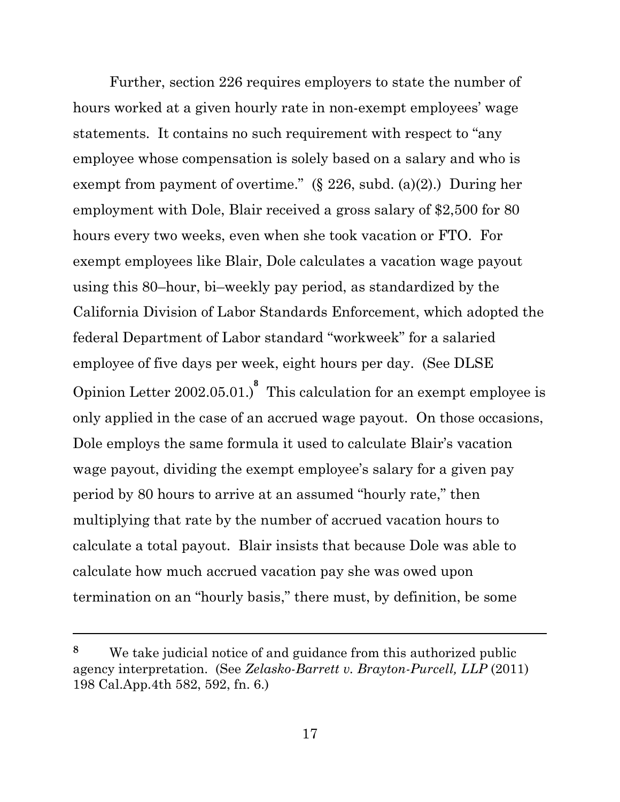Further, section 226 requires employers to state the number of hours worked at a given hourly rate in non-exempt employees' wage statements. It contains no such requirement with respect to "any employee whose compensation is solely based on a salary and who is exempt from payment of overtime."  $(\S$  226, subd. (a)(2).) During her employment with Dole, Blair received a gross salary of \$2,500 for 80 hours every two weeks, even when she took vacation or FTO. For exempt employees like Blair, Dole calculates a vacation wage payout using this 80–hour, bi–weekly pay period, as standardized by the California Division of Labor Standards Enforcement, which adopted the federal Department of Labor standard "workweek" for a salaried employee of five days per week, eight hours per day. (See DLSE Opinion Letter 2002.05.01.)<sup>8</sup> This calculation for an exempt employee is only applied in the case of an accrued wage payout. On those occasions, Dole employs the same formula it used to calculate Blair's vacation wage payout, dividing the exempt employee's salary for a given pay period by 80 hours to arrive at an assumed "hourly rate," then multiplying that rate by the number of accrued vacation hours to calculate a total payout. Blair insists that because Dole was able to calculate how much accrued vacation pay she was owed upon termination on an "hourly basis," there must, by definition, be some

**<sup>8</sup>** We take judicial notice of and guidance from this authorized public agency interpretation. (See *Zelasko-Barrett v. Brayton-Purcell, LLP* (2011) 198 Cal.App.4th 582, 592, fn. 6.)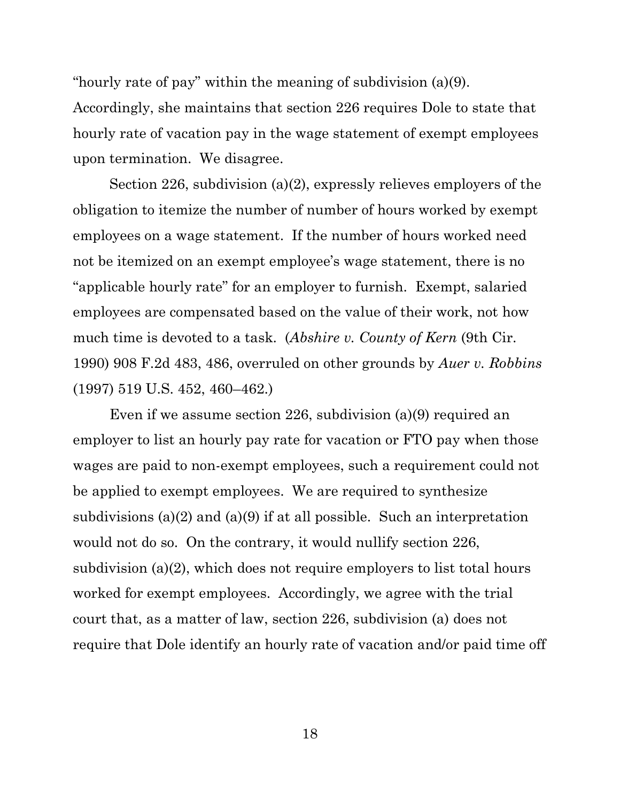"hourly rate of pay" within the meaning of subdivision (a)(9).

Accordingly, she maintains that section 226 requires Dole to state that hourly rate of vacation pay in the wage statement of exempt employees upon termination. We disagree.

Section 226, subdivision (a)(2), expressly relieves employers of the obligation to itemize the number of number of hours worked by exempt employees on a wage statement. If the number of hours worked need not be itemized on an exempt employee's wage statement, there is no "applicable hourly rate" for an employer to furnish. Exempt, salaried employees are compensated based on the value of their work, not how much time is devoted to a task. (*Abshire v. County of Kern* (9th Cir. 1990) 908 F.2d 483, 486, overruled on other grounds by *Auer v. Robbins* (1997) 519 U.S. 452, 460–462.)

Even if we assume section 226, subdivision (a)(9) required an employer to list an hourly pay rate for vacation or FTO pay when those wages are paid to non-exempt employees, such a requirement could not be applied to exempt employees. We are required to synthesize subdivisions (a)(2) and (a)(9) if at all possible. Such an interpretation would not do so. On the contrary, it would nullify section 226, subdivision (a)(2), which does not require employers to list total hours worked for exempt employees. Accordingly, we agree with the trial court that, as a matter of law, section 226, subdivision (a) does not require that Dole identify an hourly rate of vacation and/or paid time off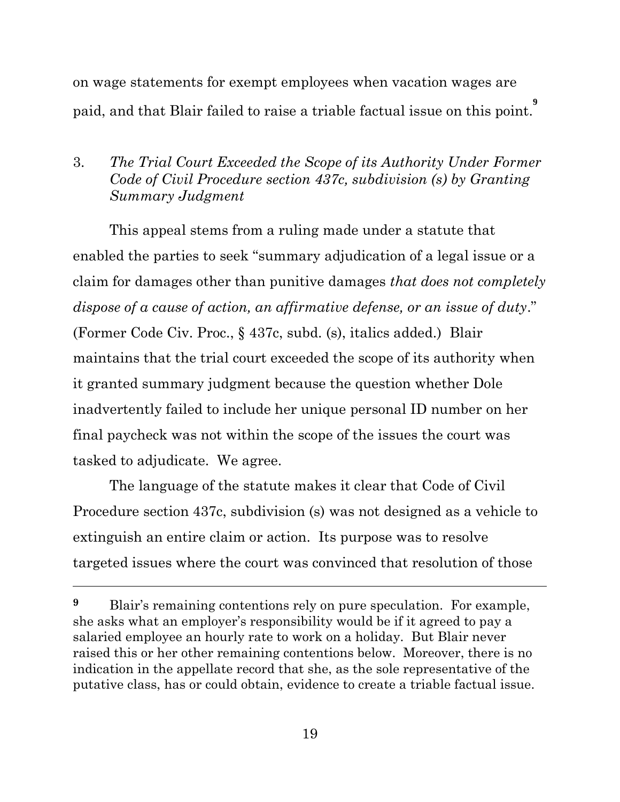on wage statements for exempt employees when vacation wages are paid, and that Blair failed to raise a triable factual issue on this point. **9**

# 3. *The Trial Court Exceeded the Scope of its Authority Under Former Code of Civil Procedure section 437c, subdivision (s) by Granting Summary Judgment*

This appeal stems from a ruling made under a statute that enabled the parties to seek "summary adjudication of a legal issue or a claim for damages other than punitive damages *that does not completely dispose of a cause of action, an affirmative defense, or an issue of duty*." (Former Code Civ. Proc., § 437c, subd. (s), italics added.) Blair maintains that the trial court exceeded the scope of its authority when it granted summary judgment because the question whether Dole inadvertently failed to include her unique personal ID number on her final paycheck was not within the scope of the issues the court was tasked to adjudicate. We agree.

The language of the statute makes it clear that Code of Civil Procedure section 437c, subdivision (s) was not designed as a vehicle to extinguish an entire claim or action. Its purpose was to resolve targeted issues where the court was convinced that resolution of those

<sup>&</sup>lt;sup>9</sup> Blair's remaining contentions rely on pure speculation. For example, she asks what an employer's responsibility would be if it agreed to pay a salaried employee an hourly rate to work on a holiday. But Blair never raised this or her other remaining contentions below. Moreover, there is no indication in the appellate record that she, as the sole representative of the putative class, has or could obtain, evidence to create a triable factual issue.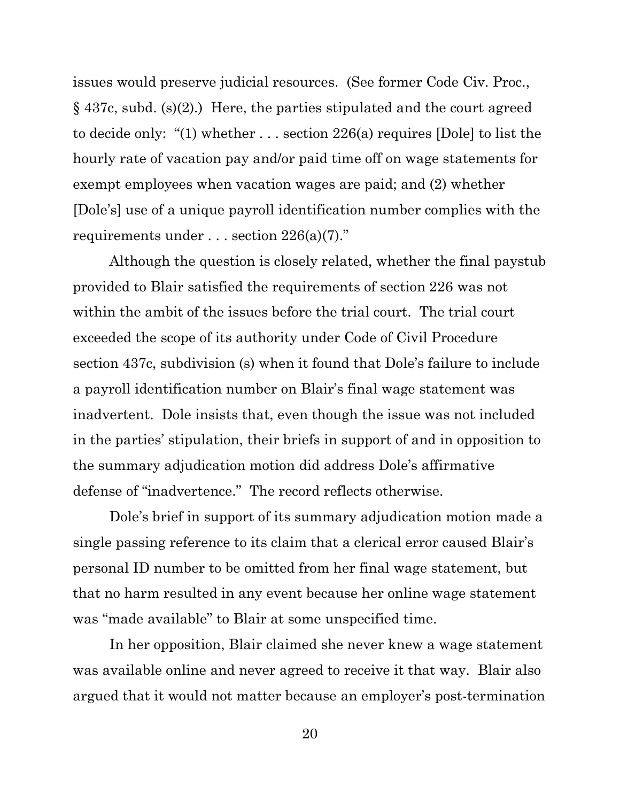issues would preserve judicial resources. (See former Code Civ. Proc., § 437c, subd. (s)(2).) Here, the parties stipulated and the court agreed to decide only: "(1) whether . . . section 226(a) requires [Dole] to list the hourly rate of vacation pay and/or paid time off on wage statements for exempt employees when vacation wages are paid; and (2) whether [Dole's] use of a unique payroll identification number complies with the requirements under . . . section 226(a)(7)."

Although the question is closely related, whether the final paystub provided to Blair satisfied the requirements of section 226 was not within the ambit of the issues before the trial court. The trial court exceeded the scope of its authority under Code of Civil Procedure section 437c, subdivision (s) when it found that Dole's failure to include a payroll identification number on Blair's final wage statement was inadvertent. Dole insists that, even though the issue was not included in the parties' stipulation, their briefs in support of and in opposition to the summary adjudication motion did address Dole's affirmative defense of "inadvertence." The record reflects otherwise.

Dole's brief in support of its summary adjudication motion made a single passing reference to its claim that a clerical error caused Blair's personal ID number to be omitted from her final wage statement, but that no harm resulted in any event because her online wage statement was "made available" to Blair at some unspecified time.

In her opposition, Blair claimed she never knew a wage statement was available online and never agreed to receive it that way. Blair also argued that it would not matter because an employer's post-termination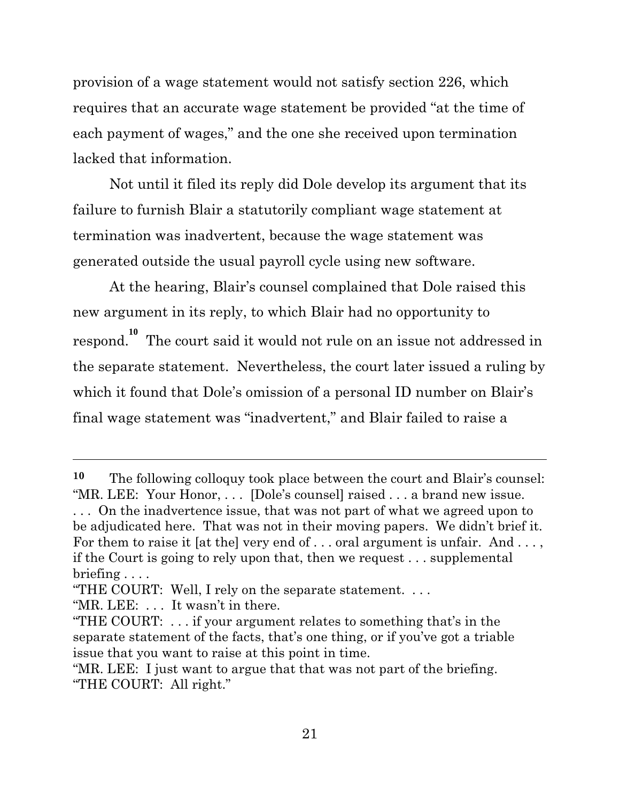provision of a wage statement would not satisfy section 226, which requires that an accurate wage statement be provided "at the time of each payment of wages," and the one she received upon termination lacked that information.

Not until it filed its reply did Dole develop its argument that its failure to furnish Blair a statutorily compliant wage statement at termination was inadvertent, because the wage statement was generated outside the usual payroll cycle using new software.

At the hearing, Blair's counsel complained that Dole raised this new argument in its reply, to which Blair had no opportunity to respond. **10** The court said it would not rule on an issue not addressed in the separate statement. Nevertheless, the court later issued a ruling by which it found that Dole's omission of a personal ID number on Blair's final wage statement was "inadvertent," and Blair failed to raise a

**<sup>10</sup>** The following colloquy took place between the court and Blair's counsel: "MR. LEE: Your Honor, . . . [Dole's counsel] raised . . . a brand new issue. . . . On the inadvertence issue, that was not part of what we agreed upon to be adjudicated here. That was not in their moving papers. We didn't brief it. For them to raise it [at the] very end of  $\dots$  oral argument is unfair. And  $\dots$ , if the Court is going to rely upon that, then we request . . . supplemental briefing . . . .

<sup>&</sup>quot;THE COURT: Well, I rely on the separate statement. . . .

<sup>&</sup>quot;MR. LEE: . . . It wasn't in there.

<sup>&</sup>quot;THE COURT: . . . if your argument relates to something that's in the separate statement of the facts, that's one thing, or if you've got a triable issue that you want to raise at this point in time.

<sup>&</sup>quot;MR. LEE: I just want to argue that that was not part of the briefing. "THE COURT: All right."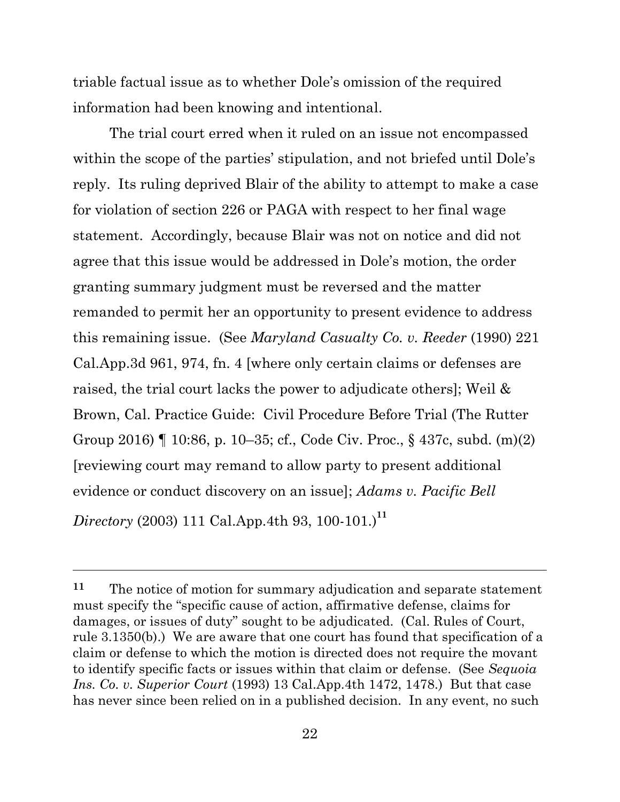triable factual issue as to whether Dole's omission of the required information had been knowing and intentional.

The trial court erred when it ruled on an issue not encompassed within the scope of the parties' stipulation, and not briefed until Dole's reply. Its ruling deprived Blair of the ability to attempt to make a case for violation of section 226 or PAGA with respect to her final wage statement. Accordingly, because Blair was not on notice and did not agree that this issue would be addressed in Dole's motion, the order granting summary judgment must be reversed and the matter remanded to permit her an opportunity to present evidence to address this remaining issue. (See *Maryland Casualty Co. v. Reeder* (1990) 221 Cal.App.3d 961, 974, fn. 4 [where only certain claims or defenses are raised, the trial court lacks the power to adjudicate others]; Weil & Brown, Cal. Practice Guide: Civil Procedure Before Trial (The Rutter Group 2016) ¶ 10:86, p. 10–35; cf., Code Civ. Proc., § 437c, subd. (m)(2) [reviewing court may remand to allow party to present additional evidence or conduct discovery on an issue]; *Adams v. Pacific Bell Directory* (2003) 111 Cal.App.4th 93, 100-101.)**<sup>11</sup>**

**<sup>11</sup>** The notice of motion for summary adjudication and separate statement must specify the "specific cause of action, affirmative defense, claims for damages, or issues of duty" sought to be adjudicated. (Cal. Rules of Court, rule 3.1350(b).) We are aware that one court has found that specification of a claim or defense to which the motion is directed does not require the movant to identify specific facts or issues within that claim or defense. (See *Sequoia Ins. Co. v. Superior Court* (1993) 13 Cal.App.4th 1472, 1478.) But that case has never since been relied on in a published decision. In any event, no such